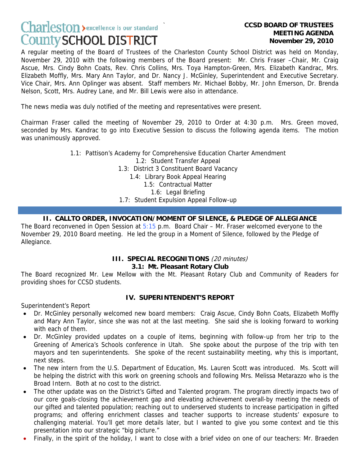# **Charleston** > excellence is our standard **County SCHOOL DISTRICT**

# **MEETING AGENDA November 29, 2010**

A regular meeting of the Board of Trustees of the Charleston County School District was held on Monday, November 29, 2010 with the following members of the Board present: Mr. Chris Fraser –Chair, Mr. Craig Ascue, Mrs. Cindy Bohn Coats, Rev. Chris Collins, Mrs. Toya Hampton-Green, Mrs. Elizabeth Kandrac, Mrs. Elizabeth Moffly, Mrs. Mary Ann Taylor, and Dr. Nancy J. McGinley, Superintendent and Executive Secretary. Vice Chair, Mrs. Ann Oplinger was absent. Staff members Mr. Michael Bobby, Mr. John Emerson, Dr. Brenda Nelson, Scott, Mrs. Audrey Lane, and Mr. Bill Lewis were also in attendance.

The news media was duly notified of the meeting and representatives were present.

Chairman Fraser called the meeting of November 29, 2010 to Order at 4:30 p.m. Mrs. Green moved, seconded by Mrs. Kandrac to go into Executive Session to discuss the following agenda items. The motion was unanimously approved.

> 1.1: Pattison's Academy for Comprehensive Education Charter Amendment 1.2: Student Transfer Appeal 1.3: District 3 Constituent Board Vacancy 1.4: Library Book Appeal Hearing 1.5: Contractual Matter 1.6: Legal Briefing 1.7: Student Expulsion Appeal Follow-up

#### **II. CALLTO ORDER, INVOCATION/MOMENT OF SILENCE, & PLEDGE OF ALLEGIANCE**

The Board reconvened in Open Session at  $5:15$  p.m. Board Chair – Mr. Fraser welcomed everyone to the November 29, 2010 Board meeting. He led the group in a Moment of Silence, followed by the Pledge of Allegiance.

#### **III. SPECIAL RECOGNITIONS** (20 minutes)

#### **3.1: Mt. Pleasant Rotary Club**

The Board recognized Mr. Lew Mellow with the Mt. Pleasant Rotary Club and Community of Readers for providing shoes for CCSD students.

#### **IV. SUPERINTENDENT'S REPORT**

Superintendent's Report

- Dr. McGinley personally welcomed new board members: Craig Ascue, Cindy Bohn Coats, Elizabeth Moffly and Mary Ann Taylor, since she was not at the last meeting. She said she is looking forward to working with each of them.
- Dr. McGinley provided updates on a couple of items, beginning with follow-up from her trip to the Greening of America's Schools conference in Utah. She spoke about the purpose of the trip with ten mayors and ten superintendents. She spoke of the recent sustainability meeting, why this is important, next steps.
- The new intern from the U.S. Department of Education, Ms. Lauren Scott was introduced. Ms. Scott will be helping the district with this work on greening schools and following Mrs. Melissa Metarazzo who is the Broad Intern. Both at no cost to the district.
- The other update was on the District's Gifted and Talented program. The program directly impacts two of our core goals-closing the achievement gap and elevating achievement overall-by meeting the needs of our gifted and talented population; reaching out to underserved students to increase participation in gifted programs; and offering enrichment classes and teacher supports to increase students' exposure to challenging material. You'll get more details later, but I wanted to give you some context and tie this presentation into our strategic "big picture."
- Finally, in the spirit of the holiday, I want to close with a brief video on one of our teachers: Mr. Braeden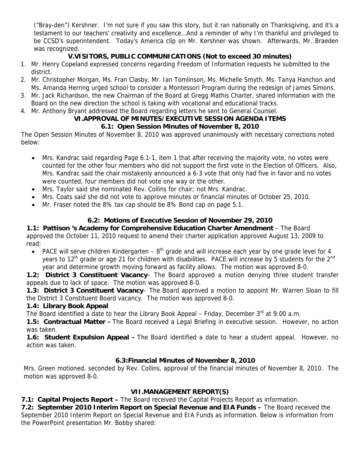("Bray-den") Kershner. I'm not sure if you saw this story, but it ran nationally on Thanksgiving, and it's a testament to our teachers' creativity and excellence…And a reminder of why I'm thankful and privileged to be CCSD's superintendent. Today's America clip on Mr. Kershner was shown. Afterwards, Mr. Braeden was recognized.

#### **V.VISITORS, PUBLIC COMMUNICATIONS (Not to exceed 30 minutes)**

- 1. Mr. Henry Copeland expressed concerns regarding Freedom of Information requests he submitted to the district.
- 2. Mr. Christopher Morgan, Ms. Fran Clasby, Mr. Ian Tomlinson, Ms. Michelle Smyth, Ms. Tanya Hanchon and Ms. Amanda Herring urged school to consider a Montessori Program during the redesign of James Simons.
- 3. Mr. Jack Richardson, the new Chairman of the Board at Gregg Mathis Charter, shared information with the Board on the new direction the school is taking with vocational and educational tracks.
- 4. Mr. Anthony Bryant addressed the Board regarding letters he sent to General Counsel.

# **VI.APPROVAL OF MINUTES/EXECUTIVE SESSION AGENDA ITEMS**

# **6.1: Open Session Minutes of November 8, 2010**

The Open Session Minutes of November 8, 2010 was approved unanimously with necessary corrections noted below:

- Mrs. Kandrac said regarding Page 6.1-1, item 1 that after receiving the majority vote, no votes were counted for the other four members who did not support the first vote in the Election of Officers. Also, Mrs. Kandrac said the chair mistakenly announced a 6-3 vote that only had five in favor and no votes were counted, four members did not vote one way or the other.
- Mrs. Taylor said she nominated Rev. Collins for chair; not Mrs. Kandrac.
- Mrs. Coats said she did not vote to approve minutes or financial minutes of October 25, 2010.
- Mr. Fraser noted the 8% tax cap should be 8% Bond cap on page 5.1.

# **6.2: Motions of Executive Session of November 29, 2010**

**1.1: Pattison 's Academy for Comprehensive Education Charter Amendment** – The Board approved the October 11, 2010 request to amend their charter application approved August 13, 2009 to read:

• PACE will serve children Kindergarten –  $8<sup>th</sup>$  grade and will increase each year by one grade level for 4 years to 12<sup>th</sup> grade or age 21 for children with disabilities. PACE will increase by 5 students for the 2<sup>nd</sup> year and determine growth moving forward as facility allows. The motion was approved 8-0.

**1.2: District 3 Constituent Vacancy**– The Board approved a motion denying three student transfer appeals due to lack of space. The motion was approved 8-0.

**1.3: District 3 Constituent Vacancy**– The Board approved a motion to appoint Mr. Warren Sloan to fill the District 3 Constituent Board vacancy. The motion was approved 8-0.

#### **1.4: Library Book Appeal**

The Board identified a date to hear the Library Book Appeal – Friday, December  $3^{rd}$  at 9:00 a.m.

**1.5: Contractual Matter -** The Board received a Legal Briefing in executive session. However, no action was taken.

**1.6: Student Expulsion Appeal -** The Board identified a date to hear a student appeal. However, no action was taken.

# **6.3:Financial Minutes of November 8, 2010**

Mrs. Green motioned, seconded by Rev. Collins, approval of the financial minutes of November 8, 2010. The motion was approved 8-0.

# **VII.MANAGEMENT REPORT(S)**

**7.1: Capital Projects Report –** The Board received the Capital Projects Report as information.

**7.2: September 2010 Interim Report on Special Revenue and EIA Funds –** The Board received the September 2010 Interim Report on Special Revenue and EIA Funds as information. Below is information from the PowerPoint presentation Mr. Bobby shared: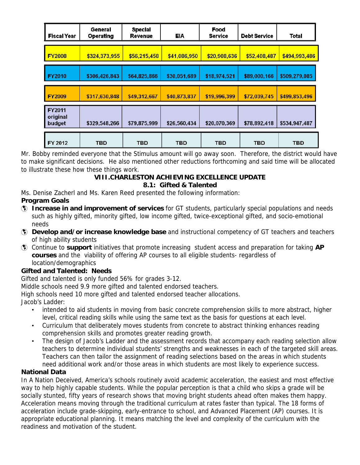| <b>Fiscal Year</b>                  | General<br><b>Operating</b> | <b>Special</b><br>Revenue | <b>EIA</b>   | Food<br><b>Service</b> | <b>Debt Service</b> | Total         |
|-------------------------------------|-----------------------------|---------------------------|--------------|------------------------|---------------------|---------------|
| <b>FY2008</b>                       | \$324,373,955               | \$56,215,458              | \$41,086,950 | \$20,908,636           | \$52,408,487        | \$494,993,486 |
| <b>FY2010</b>                       | \$306,426,843               | \$64,825,866              | \$30,051,689 | \$18,974,521           | \$89,000,166        | \$509,279,085 |
| <b>FY2009</b>                       | \$317,630,848               | \$49,312,667              | \$40,873,837 | \$19,996,399           | \$72,039,745        | \$499,853,496 |
| <b>FY2011</b><br>original<br>budget | \$329,548,266               | \$79,875,999              | \$26,560,434 | \$20,070,369           | \$78,892,418        | \$534,947,487 |
| FY 2012                             | <b>TBD</b>                  | TBD                       | <b>TBD</b>   | TBD                    | <b>TBD</b>          | TBD           |

Mr. Bobby reminded everyone that the Stimulus amount will go away soon. Therefore, the district would have to make significant decisions. He also mentioned other reductions forthcoming and said time will be allocated to illustrate these how these things work.

#### **VIII.CHARLESTON ACHIEVING EXCELLENCE UPDATE 8.1: Gifted & Talented**

Ms. Denise Zacherl and Ms. Karen Reed presented the following information:

#### **Program Goals**

- à **Increase in and improvement of services** for GT students, particularly special populations and needs such as highly gifted, minority gifted, low income gifted, twice-exceptional gifted, and socio-emotional needs
- à **Develop and/or increase knowledge base** and instructional competency of GT teachers and teachers of high ability students
- à Continue to **support** initiatives that promote increasing student access and preparation for taking **AP courses** and the viability of offering AP courses to all eligible students- regardless of location/demographics

# **Gifted and Talented: Needs**

Gifted and talented is only funded 56% for grades 3-12.

Middle schools need 9.9 more gifted and talented endorsed teachers.

High schools need 10 more gifted and talented endorsed teacher allocations.

Jacob's Ladder:

- intended to aid students in moving from basic concrete comprehension skills to more abstract, higher level, critical reading skills while using the same text as the basis for questions at each level.
- Curriculum that deliberately moves students from concrete to abstract thinking enhances reading comprehension skills and promotes greater reading growth.
- The design of Jacob's Ladder and the assessment records that accompany each reading selection allow teachers to determine individual students' strengths and weaknesses in each of the targeted skill areas. Teachers can then tailor the assignment of reading selections based on the areas in which students need additional work and/or those areas in which students are most likely to experience success.

# **National Data**

In A Nation Deceived, America's schools routinely avoid academic acceleration, the easiest and most effective way to help highly capable students. While the popular perception is that a child who skips a grade will be socially stunted, fifty years of research shows that moving bright students ahead often makes them happy. Acceleration means moving through the traditional curriculum at rates faster than typical. The 18 forms of acceleration include grade-skipping, early-entrance to school, and Advanced Placement (AP) courses. It is appropriate educational planning. It means matching the level and complexity of the curriculum with the readiness and motivation of the student.